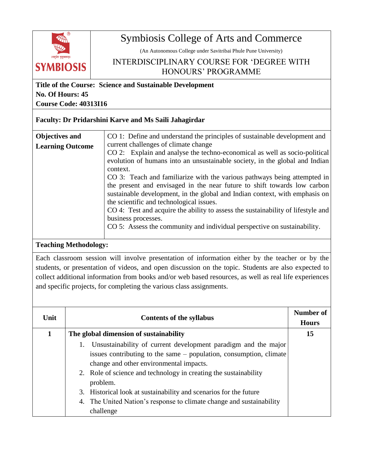

## Symbiosis College of Arts and Commerce

(An Autonomous College under Savitribai Phule Pune University)

## INTERDISCIPLINARY COURSE FOR 'DEGREE WITH HONOURS' PROGRAMME

**Title of the Course: Science and Sustainable Development No. Of Hours: 45 Course Code: 40313I16**

## **Faculty: Dr Pridarshini Karve and Ms Saili Jahagirdar**

| Objectives and          | CO 1: Define and understand the principles of sustainable development and        |
|-------------------------|----------------------------------------------------------------------------------|
| <b>Learning Outcome</b> | current challenges of climate change                                             |
|                         | CO 2: Explain and analyse the techno-economical as well as socio-political       |
|                         | evolution of humans into an unsustainable society, in the global and Indian      |
|                         | context.                                                                         |
|                         | CO 3: Teach and familiarize with the various pathways being attempted in         |
|                         | the present and envisaged in the near future to shift towards low carbon         |
|                         | sustainable development, in the global and Indian context, with emphasis on      |
|                         | the scientific and technological issues.                                         |
|                         | CO 4: Test and acquire the ability to assess the sustainability of lifestyle and |
|                         | business processes.                                                              |
|                         | CO 5: Assess the community and individual perspective on sustainability.         |
|                         |                                                                                  |

## **Teaching Methodology:**

Each classroom session will involve presentation of information either by the teacher or by the students, or presentation of videos, and open discussion on the topic. Students are also expected to collect additional information from books and/or web based resources, as well as real life experiences and specific projects, for completing the various class assignments.

| Unit | <b>Contents of the syllabus</b>                                                                                                                                                                                                                                                                                                                                                                                              | Number of<br><b>Hours</b> |
|------|------------------------------------------------------------------------------------------------------------------------------------------------------------------------------------------------------------------------------------------------------------------------------------------------------------------------------------------------------------------------------------------------------------------------------|---------------------------|
|      | The global dimension of sustainability                                                                                                                                                                                                                                                                                                                                                                                       | 15                        |
|      | Unsustainability of current development paradigm and the major<br>issues contributing to the same – population, consumption, climate<br>change and other environmental impacts.<br>2. Role of science and technology in creating the sustainability<br>problem.<br>Historical look at sustainability and scenarios for the future<br>3.<br>4. The United Nation's response to climate change and sustainability<br>challenge |                           |